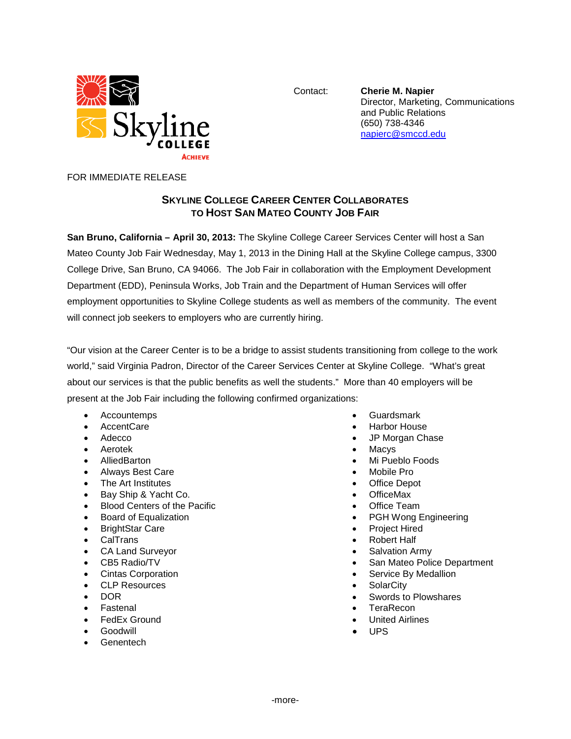

Contact: **Cherie M. Napier** Director, Marketing, Communications and Public Relations (650) 738-4346 [napierc@smccd.edu](mailto:napierc@smccd.edu)

FOR IMMEDIATE RELEASE

## **SKYLINE COLLEGE CAREER CENTER COLLABORATES TO HOST SAN MATEO COUNTY JOB FAIR**

**San Bruno, California – April 30, 2013:** The Skyline College Career Services Center will host a San Mateo County Job Fair Wednesday, May 1, 2013 in the Dining Hall at the Skyline College campus, 3300 College Drive, San Bruno, CA 94066. The Job Fair in collaboration with the Employment Development Department (EDD), Peninsula Works, Job Train and the Department of Human Services will offer employment opportunities to Skyline College students as well as members of the community. The event will connect job seekers to employers who are currently hiring.

"Our vision at the Career Center is to be a bridge to assist students transitioning from college to the work world," said Virginia Padron, Director of the Career Services Center at Skyline College. "What's great about our services is that the public benefits as well the students." More than 40 employers will be present at the Job Fair including the following confirmed organizations:

- Accountemps
- AccentCare
- Adecco
- Aerotek
- AlliedBarton
- Always Best Care
- The Art Institutes
- Bay Ship & Yacht Co.
- Blood Centers of the Pacific
- Board of Equalization
- BrightStar Care
- CalTrans
- CA Land Surveyor
- CB5 Radio/TV
- Cintas Corporation
- CLP Resources
- DOR
- **Fastenal**
- FedEx Ground
- **Goodwill**
- **Genentech**
- Guardsmark
- Harbor House
- JP Morgan Chase
- **Macys**
- Mi Pueblo Foods
- Mobile Pro
- **Office Depot**
- OfficeMax
- **Office Team**
- PGH Wong Engineering
- Project Hired
- **Robert Half**
- Salvation Army
- San Mateo Police Department
- Service By Medallion
- **SolarCity**
- Swords to Plowshares
- **TeraRecon**
- **United Airlines**
- UPS